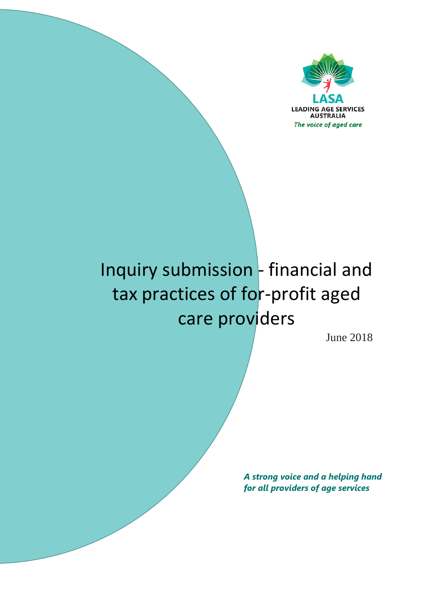

# Inquiry submission - financial and tax practices of for-profit aged care providers

June 2018

*A strong voice and a helping hand for all providers of age services*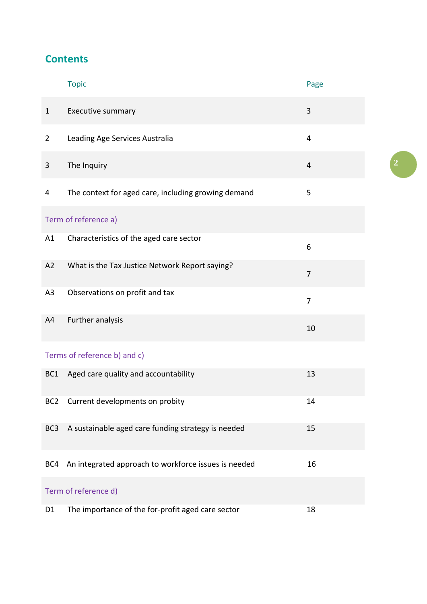# **Contents**

|                              | <b>Topic</b>                                         | Page           |  |  |  |  |  |
|------------------------------|------------------------------------------------------|----------------|--|--|--|--|--|
| $\mathbf{1}$                 | Executive summary                                    | 3              |  |  |  |  |  |
| $\overline{2}$               | Leading Age Services Australia                       | $\overline{4}$ |  |  |  |  |  |
| 3                            | The Inquiry                                          | $\overline{4}$ |  |  |  |  |  |
| 4                            | The context for aged care, including growing demand  | 5              |  |  |  |  |  |
| Term of reference a)         |                                                      |                |  |  |  |  |  |
| A1                           | Characteristics of the aged care sector              | 6              |  |  |  |  |  |
| A2                           | What is the Tax Justice Network Report saying?       | $\overline{7}$ |  |  |  |  |  |
| A3                           | Observations on profit and tax                       | $\overline{7}$ |  |  |  |  |  |
| A4                           | Further analysis                                     | 10             |  |  |  |  |  |
| Terms of reference b) and c) |                                                      |                |  |  |  |  |  |
| BC <sub>1</sub>              | Aged care quality and accountability                 | 13             |  |  |  |  |  |
| BC <sub>2</sub>              | Current developments on probity                      | 14             |  |  |  |  |  |
| BC <sub>3</sub>              | A sustainable aged care funding strategy is needed   | 15             |  |  |  |  |  |
| BC4                          | An integrated approach to workforce issues is needed | 16             |  |  |  |  |  |
| Term of reference d)         |                                                      |                |  |  |  |  |  |
| D1                           | The importance of the for-profit aged care sector    | 18             |  |  |  |  |  |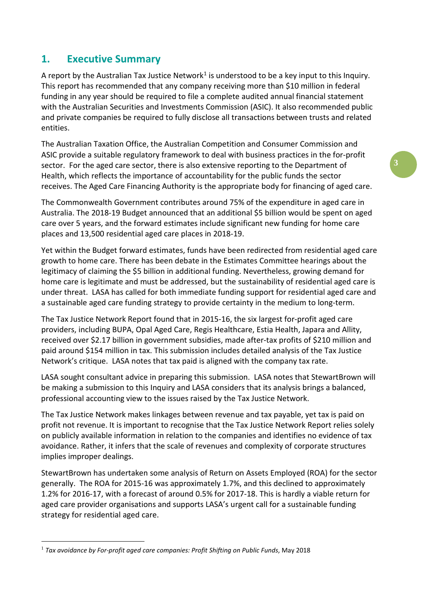## **1. Executive Summary**

A report by the Australian Tax Justice Network<sup>[1](#page-2-0)</sup> is understood to be a key input to this Inquiry. This report has recommended that any company receiving more than \$10 million in federal funding in any year should be required to file a complete audited annual financial statement with the Australian Securities and Investments Commission (ASIC). It also recommended public and private companies be required to fully disclose all transactions between trusts and related entities.

The Australian Taxation Office, the Australian Competition and Consumer Commission and ASIC provide a suitable regulatory framework to deal with business practices in the for-profit sector. For the aged care sector, there is also extensive reporting to the Department of Health, which reflects the importance of accountability for the public funds the sector receives. The Aged Care Financing Authority is the appropriate body for financing of aged care.

The Commonwealth Government contributes around 75% of the expenditure in aged care in Australia. The 2018-19 Budget announced that an additional \$5 billion would be spent on aged care over 5 years, and the forward estimates include significant new funding for home care places and 13,500 residential aged care places in 2018-19.

Yet within the Budget forward estimates, funds have been redirected from residential aged care growth to home care. There has been debate in the Estimates Committee hearings about the legitimacy of claiming the \$5 billion in additional funding. Nevertheless, growing demand for home care is legitimate and must be addressed, but the sustainability of residential aged care is under threat. LASA has called for both immediate funding support for residential aged care and a sustainable aged care funding strategy to provide certainty in the medium to long-term.

The Tax Justice Network Report found that in 2015-16, the six largest for-profit aged care providers, including BUPA, Opal Aged Care, Regis Healthcare, Estia Health, Japara and Allity, received over \$2.17 billion in government subsidies, made after-tax profits of \$210 million and paid around \$154 million in tax. This submission includes detailed analysis of the Tax Justice Network's critique. LASA notes that tax paid is aligned with the company tax rate.

LASA sought consultant advice in preparing this submission. LASA notes that StewartBrown will be making a submission to this Inquiry and LASA considers that its analysis brings a balanced, professional accounting view to the issues raised by the Tax Justice Network.

The Tax Justice Network makes linkages between revenue and tax payable, yet tax is paid on profit not revenue. It is important to recognise that the Tax Justice Network Report relies solely on publicly available information in relation to the companies and identifies no evidence of tax avoidance. Rather, it infers that the scale of revenues and complexity of corporate structures implies improper dealings.

StewartBrown has undertaken some analysis of Return on Assets Employed (ROA) for the sector generally. The ROA for 2015-16 was approximately 1.7%, and this declined to approximately 1.2% for 2016-17, with a forecast of around 0.5% for 2017-18. This is hardly a viable return for aged care provider organisations and supports LASA's urgent call for a sustainable funding strategy for residential aged care.

<span id="page-2-0"></span> <sup>1</sup> *Tax avoidance by For-profit aged care companies: Profit Shifting on Public Funds*, May 2018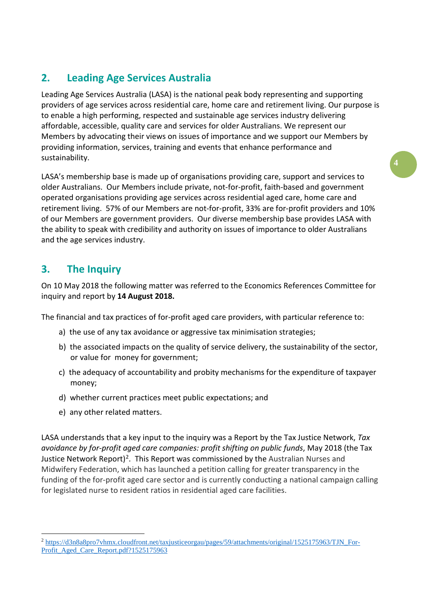## **2. Leading Age Services Australia**

Leading Age Services Australia (LASA) is the national peak body representing and supporting providers of age services across residential care, home care and retirement living. Our purpose is to enable a high performing, respected and sustainable age services industry delivering affordable, accessible, quality care and services for older Australians. We represent our Members by advocating their views on issues of importance and we support our Members by providing information, services, training and events that enhance performance and sustainability.

LASA's membership base is made up of organisations providing care, support and services to older Australians. Our Members include private, not-for-profit, faith-based and government operated organisations providing age services across residential aged care, home care and retirement living. 57% of our Members are not-for-profit, 33% are for-profit providers and 10% of our Members are government providers. Our diverse membership base provides LASA with the ability to speak with credibility and authority on issues of importance to older Australians and the age services industry.

## **3. The Inquiry**

On 10 May 2018 the following matter was referred to the Economics References Committee for inquiry and report by **14 August 2018.**

The financial and tax practices of for-profit aged care providers, with particular reference to:

- a) the use of any tax avoidance or aggressive tax minimisation strategies;
- b) the associated impacts on the quality of service delivery, the sustainability of the sector, or value for money for government;
- c) the adequacy of accountability and probity mechanisms for the expenditure of taxpayer money;
- d) whether current practices meet public expectations; and
- e) any other related matters.

LASA understands that a key input to the inquiry was a Report by the Tax Justice Network, *Tax avoidance by for-profit aged care companies: profit shifting on public funds*, May 2018 (the Tax Justice Network Report)<sup>2</sup>. This Report was commissioned by the Australian Nurses and Midwifery Federation, which has launched a petition calling for greater transparency in the funding of the for-profit aged care sector and is currently conducting a national campaign calling for legislated nurse to resident ratios in residential aged care facilities.

<span id="page-3-0"></span> <sup>2</sup> [https://d3n8a8pro7vhmx.cloudfront.net/taxjusticeorgau/pages/59/attachments/original/1525175963/TJN\\_For-](https://d3n8a8pro7vhmx.cloudfront.net/taxjusticeorgau/pages/59/attachments/original/1525175963/TJN_For-Profit_Aged_Care_Report.pdf?1525175963)[Profit\\_Aged\\_Care\\_Report.pdf?1525175963](https://d3n8a8pro7vhmx.cloudfront.net/taxjusticeorgau/pages/59/attachments/original/1525175963/TJN_For-Profit_Aged_Care_Report.pdf?1525175963)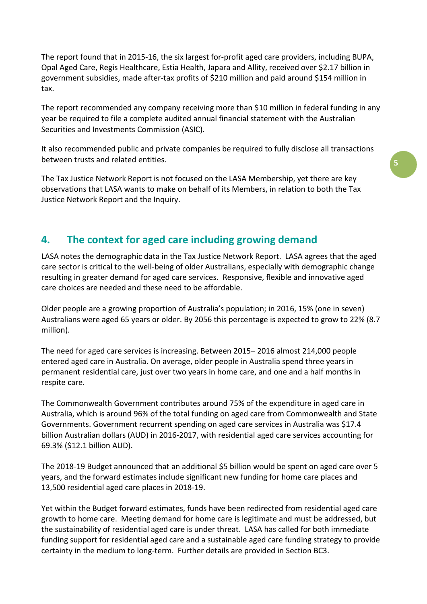The report found that in 2015-16, the six largest for-profit aged care providers, including BUPA, Opal Aged Care, Regis Healthcare, Estia Health, Japara and Allity, received over \$2.17 billion in government subsidies, made after-tax profits of \$210 million and paid around \$154 million in tax.

The report recommended any company receiving more than \$10 million in federal funding in any year be required to file a complete audited annual financial statement with the Australian Securities and Investments Commission (ASIC).

It also recommended public and private companies be required to fully disclose all transactions between trusts and related entities.

The Tax Justice Network Report is not focused on the LASA Membership, yet there are key observations that LASA wants to make on behalf of its Members, in relation to both the Tax Justice Network Report and the Inquiry.

## **4. The context for aged care including growing demand**

LASA notes the demographic data in the Tax Justice Network Report. LASA agrees that the aged care sector is critical to the well-being of older Australians, especially with demographic change resulting in greater demand for aged care services. Responsive, flexible and innovative aged care choices are needed and these need to be affordable.

Older people are a growing proportion of Australia's population; in 2016, 15% (one in seven) Australians were aged 65 years or older. By 2056 this percentage is expected to grow to 22% (8.7 million).

The need for aged care services is increasing. Between 2015– 2016 almost 214,000 people entered aged care in Australia. On average, older people in Australia spend three years in permanent residential care, just over two years in home care, and one and a half months in respite care.

The Commonwealth Government contributes around 75% of the expenditure in aged care in Australia, which is around 96% of the total funding on aged care from Commonwealth and State Governments. Government recurrent spending on aged care services in Australia was \$17.4 billion Australian dollars (AUD) in 2016-2017, with residential aged care services accounting for 69.3% (\$12.1 billion AUD).

The 2018-19 Budget announced that an additional \$5 billion would be spent on aged care over 5 years, and the forward estimates include significant new funding for home care places and 13,500 residential aged care places in 2018-19.

Yet within the Budget forward estimates, funds have been redirected from residential aged care growth to home care. Meeting demand for home care is legitimate and must be addressed, but the sustainability of residential aged care is under threat. LASA has called for both immediate funding support for residential aged care and a sustainable aged care funding strategy to provide certainty in the medium to long-term. Further details are provided in Section BC3.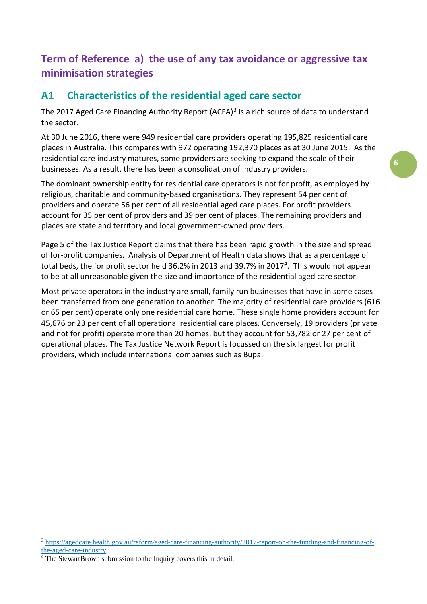# **Term of Reference a) the use of any tax avoidance or aggressive tax minimisation strategies**

## **A1 Characteristics of the residential aged care sector**

The 2017 Aged Care Financing Authority Report (ACFA) $3$  is a rich source of data to understand the sector.

At 30 June 2016, there were 949 residential care providers operating 195,825 residential care places in Australia. This compares with 972 operating 192,370 places as at 30 June 2015. As the residential care industry matures, some providers are seeking to expand the scale of their businesses. As a result, there has been a consolidation of industry providers.

The dominant ownership entity for residential care operators is not for profit, as employed by religious, charitable and community-based organisations. They represent 54 per cent of providers and operate 56 per cent of all residential aged care places. For profit providers account for 35 per cent of providers and 39 per cent of places. The remaining providers and places are state and territory and local government-owned providers.

Page 5 of the Tax Justice Report claims that there has been rapid growth in the size and spread of for-profit companies. Analysis of Department of Health data shows that as a percentage of total beds, the for profit sector held 36.2% in 2013 and 39.7% in 2017<sup>4</sup>. This would not appear to be at all unreasonable given the size and importance of the residential aged care sector.

Most private operators in the industry are small, family run businesses that have in some cases been transferred from one generation to another. The majority of residential care providers (616 or 65 per cent) operate only one residential care home. These single home providers account for 45,676 or 23 per cent of all operational residential care places. Conversely, 19 providers (private and not for profit) operate more than 20 homes, but they account for 53,782 or 27 per cent of operational places. The Tax Justice Network Report is focussed on the six largest for profit providers, which include international companies such as Bupa.

<span id="page-5-0"></span> <sup>3</sup> [https://agedcare.health.gov.au/reform/aged-care-financing-authority/2017-report-on-the-funding-and-financing-of](https://agedcare.health.gov.au/reform/aged-care-financing-authority/2017-report-on-the-funding-and-financing-of-the-aged-care-industry)[the-aged-care-industry](https://agedcare.health.gov.au/reform/aged-care-financing-authority/2017-report-on-the-funding-and-financing-of-the-aged-care-industry)

<span id="page-5-1"></span><sup>&</sup>lt;sup>4</sup> The StewartBrown submission to the Inquiry covers this in detail.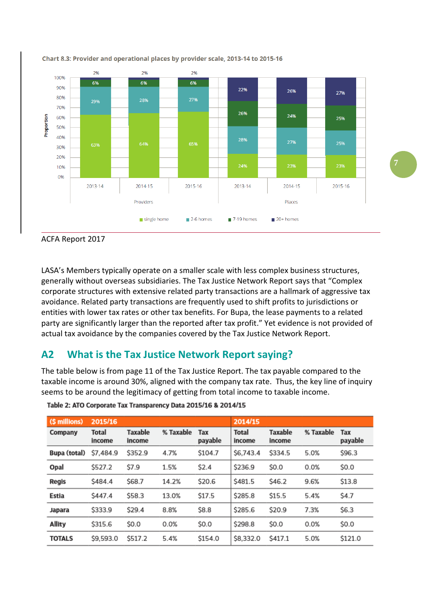





LASA's Members typically operate on a smaller scale with less complex business structures, generally without overseas subsidiaries. The Tax Justice Network Report says that "Complex corporate structures with extensive related party transactions are a hallmark of aggressive tax avoidance. Related party transactions are frequently used to shift profits to jurisdictions or entities with lower tax rates or other tax benefits. For Bupa, the lease payments to a related party are significantly larger than the reported after tax profit." Yet evidence is not provided of actual tax avoidance by the companies covered by the Tax Justice Network Report.

## **A2 What is the Tax Justice Network Report saying?**

The table below is from page 11 of the Tax Justice Report. The tax payable compared to the taxable income is around 30%, aligned with the company tax rate. Thus, the key line of inquiry seems to be around the legitimacy of getting from total income to taxable income.

| (\$ millions) | 2015/16                |                          |           |                | 2014/15                |                          |           |                |
|---------------|------------------------|--------------------------|-----------|----------------|------------------------|--------------------------|-----------|----------------|
| Company       | <b>Total</b><br>income | <b>Taxable</b><br>income | % Taxable | Tax<br>payable | <b>Total</b><br>income | <b>Taxable</b><br>income | % Taxable | Tax<br>payable |
| Bupa (total)  | \$7,484.9              | \$352.9                  | 4.7%      | \$104.7        | \$6,743.4              | \$334.5                  | 5.0%      | \$96.3         |
| Opal          | \$527.2                | \$7.9                    | 1.5%      | \$2.4          | \$236.9                | \$0.0                    | 0.0%      | \$0.0          |
| <b>Regis</b>  | S484.4                 | \$68.7                   | 14.2%     | \$20.6         | \$481.5                | \$46.2                   | 9.6%      | \$13.8         |
| Estia         | S447.4                 | \$58.3                   | 13.0%     | \$17.5         | \$285.8                | \$15.5                   | 5.4%      | \$4.7          |
| <b>Japara</b> | \$333.9                | \$29.4                   | 8.8%      | \$8.8          | \$285.6                | \$20.9                   | 7.3%      | \$6.3          |
| <b>Allity</b> | \$315.6                | \$0.0                    | 0.0%      | \$0.0          | \$298.8                | \$0.0                    | 0.0%      | \$0.0          |
| <b>TOTALS</b> | \$9,593.0              | \$517.2                  | 5.4%      | \$154.0        | \$8,332.0              | S417.1                   | 5.0%      | \$121.0        |

#### Table 2: ATO Corporate Tax Transparency Data 2015/16 & 2014/15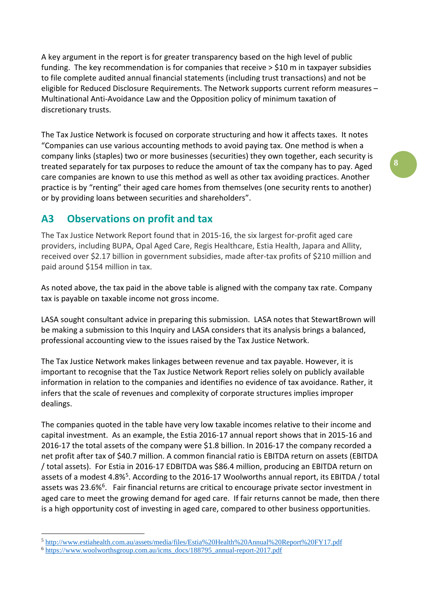A key argument in the report is for greater transparency based on the high level of public funding. The key recommendation is for companies that receive > \$10 m in taxpayer subsidies to file complete audited annual financial statements (including trust transactions) and not be eligible for Reduced Disclosure Requirements. The Network supports current reform measures – Multinational Anti-Avoidance Law and the Opposition policy of minimum taxation of discretionary trusts.

The Tax Justice Network is focused on corporate structuring and how it affects taxes. It notes "Companies can use various accounting methods to avoid paying tax. One method is when a company links (staples) two or more businesses (securities) they own together, each security is treated separately for tax purposes to reduce the amount of tax the company has to pay. Aged care companies are known to use this method as well as other tax avoiding practices. Another practice is by "renting" their aged care homes from themselves (one security rents to another) or by providing loans between securities and shareholders".

## **A3 Observations on profit and tax**

The Tax Justice Network Report found that in 2015-16, the six largest for-profit aged care providers, including BUPA, Opal Aged Care, Regis Healthcare, Estia Health, Japara and Allity, received over \$2.17 billion in government subsidies, made after-tax profits of \$210 million and paid around \$154 million in tax.

As noted above, the tax paid in the above table is aligned with the company tax rate. Company tax is payable on taxable income not gross income.

LASA sought consultant advice in preparing this submission. LASA notes that StewartBrown will be making a submission to this Inquiry and LASA considers that its analysis brings a balanced, professional accounting view to the issues raised by the Tax Justice Network.

The Tax Justice Network makes linkages between revenue and tax payable. However, it is important to recognise that the Tax Justice Network Report relies solely on publicly available information in relation to the companies and identifies no evidence of tax avoidance. Rather, it infers that the scale of revenues and complexity of corporate structures implies improper dealings.

The companies quoted in the table have very low taxable incomes relative to their income and capital investment. As an example, the Estia 2016-17 annual report shows that in 2015-16 and 2016-17 the total assets of the company were \$1.8 billion. In 2016-17 the company recorded a net profit after tax of \$40.7 million. A common financial ratio is EBITDA return on assets (EBITDA / total assets). For Estia in 2016-17 EDBITDA was \$86.4 million, producing an EBITDA return on assets of a modest 4.8%[5](#page-7-0). According to the 2016-17 Woolworths annual report, its EBITDA / total assets was 23.[6](#page-7-1)%<sup>6</sup>. Fair financial returns are critical to encourage private sector investment in aged care to meet the growing demand for aged care. If fair returns cannot be made, then there is a high opportunity cost of investing in aged care, compared to other business opportunities.

<span id="page-7-0"></span> <sup>5</sup> <http://www.estiahealth.com.au/assets/media/files/Estia%20Health%20Annual%20Report%20FY17.pdf>

<span id="page-7-1"></span><sup>6</sup> [https://www.woolworthsgroup.com.au/icms\\_docs/188795\\_annual-report-2017.pdf](https://www.woolworthsgroup.com.au/icms_docs/188795_annual-report-2017.pdf)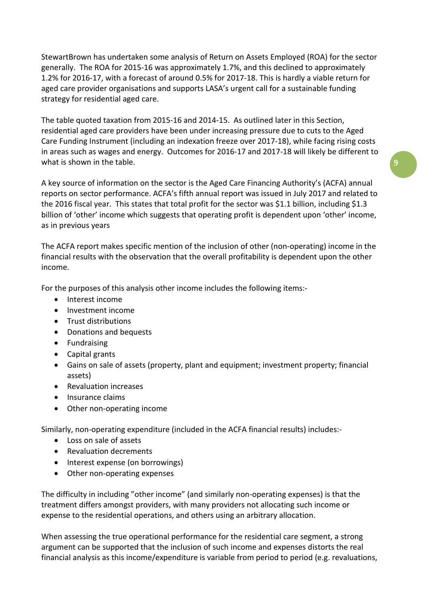StewartBrown has undertaken some analysis of Return on Assets Employed (ROA) for the sector generally. The ROA for 2015-16 was approximately 1.7%, and this declined to approximately 1.2% for 2016-17, with a forecast of around 0.5% for 2017-18. This is hardly a viable return for aged care provider organisations and supports LASA's urgent call for a sustainable funding strategy for residential aged care.

The table quoted taxation from 2015-16 and 2014-15. As outlined later in this Section, residential aged care providers have been under increasing pressure due to cuts to the Aged Care Funding Instrument (including an indexation freeze over 2017-18), while facing rising costs in areas such as wages and energy. Outcomes for 2016-17 and 2017-18 will likely be different to what is shown in the table.

A key source of information on the sector is the Aged Care Financing Authority's (ACFA) annual reports on sector performance. ACFA's fifth annual report was issued in July 2017 and related to the 2016 fiscal year. This states that total profit for the sector was \$1.1 billion, including \$1.3 billion of 'other' income which suggests that operating profit is dependent upon 'other' income, as in previous years

The ACFA report makes specific mention of the inclusion of other (non-operating) income in the financial results with the observation that the overall profitability is dependent upon the other income.

For the purposes of this analysis other income includes the following items:-

- Interest income
- Investment income
- Trust distributions
- Donations and bequests
- Fundraising
- Capital grants
- Gains on sale of assets (property, plant and equipment; investment property; financial assets)
- Revaluation increases
- Insurance claims
- Other non-operating income

Similarly, non-operating expenditure (included in the ACFA financial results) includes:-

- Loss on sale of assets
- Revaluation decrements
- Interest expense (on borrowings)
- Other non-operating expenses

The difficulty in including "other income" (and similarly non-operating expenses) is that the treatment differs amongst providers, with many providers not allocating such income or expense to the residential operations, and others using an arbitrary allocation.

When assessing the true operational performance for the residential care segment, a strong argument can be supported that the inclusion of such income and expenses distorts the real financial analysis as this income/expenditure is variable from period to period (e.g. revaluations,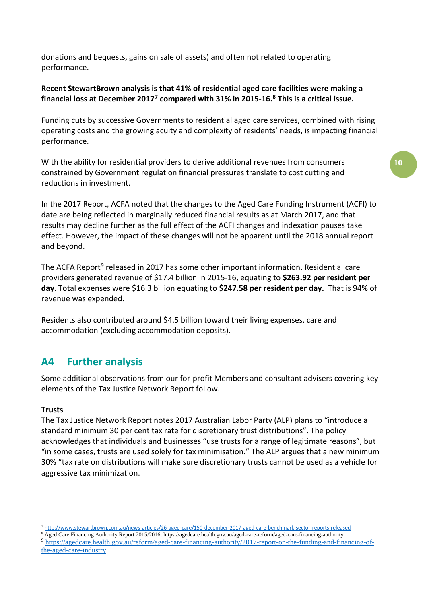donations and bequests, gains on sale of assets) and often not related to operating performance.

#### **Recent StewartBrown analysis is that 41% of residential aged care facilities were making a financial loss at December 2017[7](#page-9-0) compared with 31% in 2015-16. [8](#page-9-1) This is a critical issue.**

Funding cuts by successive Governments to residential aged care services, combined with rising operating costs and the growing acuity and complexity of residents' needs, is impacting financial performance.

With the ability for residential providers to derive additional revenues from consumers constrained by Government regulation financial pressures translate to cost cutting and reductions in investment.

In the 2017 Report, ACFA noted that the changes to the Aged Care Funding Instrument (ACFI) to date are being reflected in marginally reduced financial results as at March 2017, and that results may decline further as the full effect of the ACFI changes and indexation pauses take effect. However, the impact of these changes will not be apparent until the 2018 annual report and beyond.

The ACFA Report<sup>[9](#page-9-2)</sup> released in 2017 has some other important information. Residential care providers generated revenue of \$17.4 billion in 2015-16, equating to **\$263.92 per resident per day**. Total expenses were \$16.3 billion equating to **\$247.58 per resident per day.** That is 94% of revenue was expended.

Residents also contributed around \$4.5 billion toward their living expenses, care and accommodation (excluding accommodation deposits).

## **A4 Further analysis**

Some additional observations from our for-profit Members and consultant advisers covering key elements of the Tax Justice Network Report follow.

#### **Trusts**

The Tax Justice Network Report notes 2017 Australian Labor Party (ALP) plans to "introduce a standard minimum 30 per cent tax rate for discretionary trust distributions". The policy acknowledges that individuals and businesses "use trusts for a range of legitimate reasons", but "in some cases, trusts are used solely for tax minimisation." The ALP argues that a new minimum 30% "tax rate on distributions will make sure discretionary trusts cannot be used as a vehicle for aggressive tax minimization.

 <sup>7</sup> <http://www.stewartbrown.com.au/news-articles/26-aged-care/150-december-2017-aged-care-benchmark-sector-reports-released>

<span id="page-9-1"></span><span id="page-9-0"></span><sup>8</sup> Aged Care Financing Authority Report 2015/2016: https://agedcare.health.gov.au/aged-care-reform/aged-care-financing-authority

<span id="page-9-2"></span><sup>9</sup> [https://agedcare.health.gov.au/reform/aged-care-financing-authority/2017-report-on-the-funding-and-financing-of](https://agedcare.health.gov.au/reform/aged-care-financing-authority/2017-report-on-the-funding-and-financing-of-the-aged-care-industry)[the-aged-care-industry](https://agedcare.health.gov.au/reform/aged-care-financing-authority/2017-report-on-the-funding-and-financing-of-the-aged-care-industry)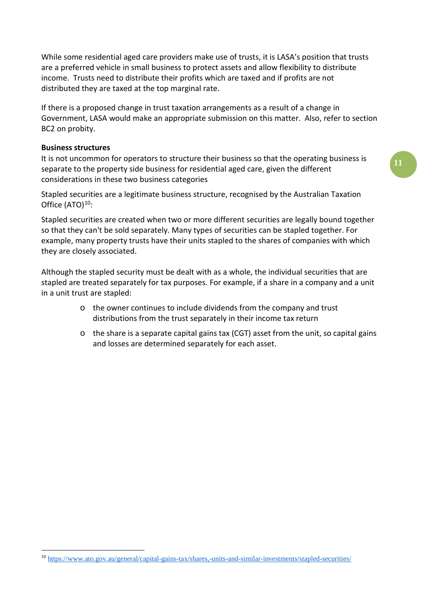While some residential aged care providers make use of trusts, it is LASA's position that trusts are a preferred vehicle in small business to protect assets and allow flexibility to distribute income. Trusts need to distribute their profits which are taxed and if profits are not distributed they are taxed at the top marginal rate.

If there is a proposed change in trust taxation arrangements as a result of a change in Government, LASA would make an appropriate submission on this matter. Also, refer to section BC2 on probity.

#### **Business structures**

It is not uncommon for operators to structure their business so that the operating business is separate to the property side business for residential aged care, given the different considerations in these two business categories

Stapled securities are a legitimate business structure, recognised by the Australian Taxation Office  $(ATO)<sup>10</sup>$  $(ATO)<sup>10</sup>$  $(ATO)<sup>10</sup>$ :

Stapled securities are created when two or more different securities are legally bound together so that they can't be sold separately. Many types of securities can be stapled together. For example, many property trusts have their units stapled to the shares of companies with which they are closely associated.

Although the stapled security must be dealt with as a whole, the individual securities that are stapled are treated separately for tax purposes. For example, if a share in a company and a unit in a unit trust are stapled:

- o the owner continues to include dividends from the company and trust distributions from the trust separately in their income tax return
- $\circ$  the share is a separate capital gains tax (CGT) asset from the unit, so capital gains and losses are determined separately for each asset.

<span id="page-10-0"></span> <sup>10</sup> <https://www.ato.gov.au/general/capital-gains-tax/shares,-units-and-similar-investments/stapled-securities/>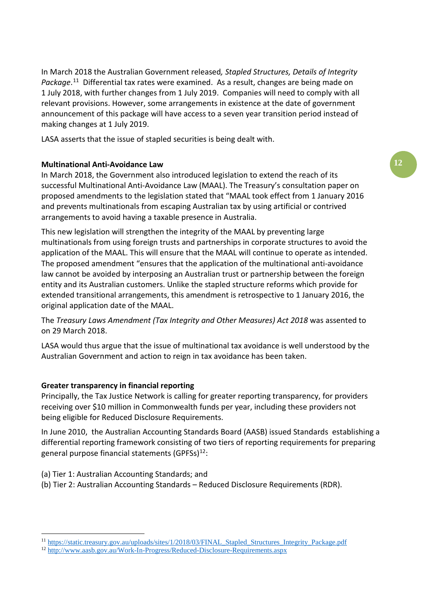In March 2018 the Australian Government released*, Stapled Structures, Details of Integrity*  Package.<sup>[11](#page-11-0)</sup> Differential tax rates were examined. As a result, changes are being made on 1 July 2018, with further changes from 1 July 2019. Companies will need to comply with all relevant provisions. However, some arrangements in existence at the date of government announcement of this package will have access to a seven year transition period instead of making changes at 1 July 2019.

LASA asserts that the issue of stapled securities is being dealt with.

#### **Multinational Anti-Avoidance Law**

In March 2018, the Government also introduced legislation to extend the reach of its successful Multinational Anti-Avoidance Law (MAAL). The Treasury's consultation paper on proposed amendments to the legislation stated that "MAAL took effect from 1 January 2016 and prevents multinationals from escaping Australian tax by using artificial or contrived arrangements to avoid having a taxable presence in Australia.

This new legislation will strengthen the integrity of the MAAL by preventing large multinationals from using foreign trusts and partnerships in corporate structures to avoid the application of the MAAL. This will ensure that the MAAL will continue to operate as intended. The proposed amendment "ensures that the application of the multinational anti-avoidance law cannot be avoided by interposing an Australian trust or partnership between the foreign entity and its Australian customers. Unlike the stapled structure reforms which provide for extended transitional arrangements, this amendment is retrospective to 1 January 2016, the original application date of the MAAL.

The *Treasury Laws Amendment (Tax Integrity and Other Measures) Act 2018* was assented to on 29 March 2018.

LASA would thus argue that the issue of multinational tax avoidance is well understood by the Australian Government and action to reign in tax avoidance has been taken.

#### **Greater transparency in financial reporting**

Principally, the Tax Justice Network is calling for greater reporting transparency, for providers receiving over \$10 million in Commonwealth funds per year, including these providers not being eligible for Reduced Disclosure Requirements.

In June 2010, the Australian Accounting Standards Board (AASB) issued Standards establishing a differential reporting framework consisting of two tiers of reporting requirements for preparing general purpose financial statements (GPFSs) $^{12}$ :

- (a) Tier 1: Australian Accounting Standards; and
- (b) Tier 2: Australian Accounting Standards Reduced Disclosure Requirements (RDR).

<span id="page-11-0"></span> <sup>11</sup> [https://static.treasury.gov.au/uploads/sites/1/2018/03/FINAL\\_Stapled\\_Structures\\_Integrity\\_Package.pdf](https://static.treasury.gov.au/uploads/sites/1/2018/03/FINAL_Stapled_Structures_Integrity_Package.pdf)

<span id="page-11-1"></span><sup>12</sup> <http://www.aasb.gov.au/Work-In-Progress/Reduced-Disclosure-Requirements.aspx>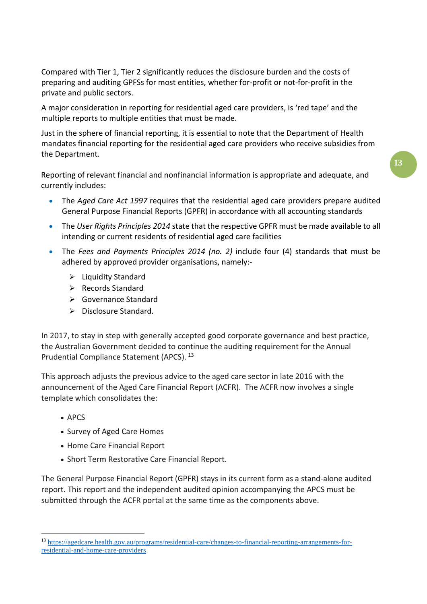Compared with Tier 1, Tier 2 significantly reduces the disclosure burden and the costs of preparing and auditing GPFSs for most entities, whether for-profit or not-for-profit in the private and public sectors.

A major consideration in reporting for residential aged care providers, is 'red tape' and the multiple reports to multiple entities that must be made.

Just in the sphere of financial reporting, it is essential to note that the Department of Health mandates financial reporting for the residential aged care providers who receive subsidies from the Department.

Reporting of relevant financial and nonfinancial information is appropriate and adequate, and currently includes:

- The *Aged Care Act 1997* requires that the residential aged care providers prepare audited General Purpose Financial Reports (GPFR) in accordance with all accounting standards
- The *User Rights Principles 2014* state that the respective GPFR must be made available to all intending or current residents of residential aged care facilities
- The *Fees and Payments Principles 2014 (no. 2)* include four (4) standards that must be adhered by approved provider organisations, namely:-
	- $\triangleright$  Liquidity Standard
	- Records Standard
	- Governance Standard
	- $\triangleright$  Disclosure Standard.

In 2017, to stay in step with generally accepted good corporate governance and best practice, the Australian Government decided to continue the auditing requirement for the Annual Prudential Compliance Statement (APCS). [13](#page-12-0)

This approach adjusts the previous advice to the aged care sector in late 2016 with the announcement of the Aged Care Financial Report (ACFR). The ACFR now involves a single template which consolidates the:

- APCS
- Survey of Aged Care Homes
- Home Care Financial Report
- Short Term Restorative Care Financial Report.

The General Purpose Financial Report (GPFR) stays in its current form as a stand-alone audited report. This report and the independent audited opinion accompanying the APCS must be submitted through the ACFR portal at the same time as the components above.

<span id="page-12-0"></span> <sup>13</sup> [https://agedcare.health.gov.au/programs/residential-care/changes-to-financial-reporting-arrangements-for](https://agedcare.health.gov.au/programs/residential-care/changes-to-financial-reporting-arrangements-for-residential-and-home-care-providers)[residential-and-home-care-providers](https://agedcare.health.gov.au/programs/residential-care/changes-to-financial-reporting-arrangements-for-residential-and-home-care-providers)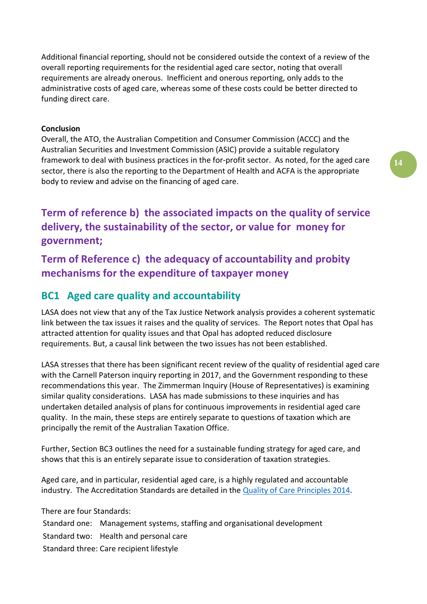Additional financial reporting, should not be considered outside the context of a review of the overall reporting requirements for the residential aged care sector, noting that overall requirements are already onerous. Inefficient and onerous reporting, only adds to the administrative costs of aged care, whereas some of these costs could be better directed to funding direct care.

#### **Conclusion**

Overall, the ATO, the Australian Competition and Consumer Commission (ACCC) and the Australian Securities and Investment Commission (ASIC) provide a suitable regulatory framework to deal with business practices in the for-profit sector. As noted, for the aged care sector, there is also the reporting to the Department of Health and ACFA is the appropriate body to review and advise on the financing of aged care.

**Term of reference b) the associated impacts on the quality of service delivery, the sustainability of the sector, or value for money for government;**

**Term of Reference c) the adequacy of accountability and probity mechanisms for the expenditure of taxpayer money**

## **BC1 Aged care quality and accountability**

LASA does not view that any of the Tax Justice Network analysis provides a coherent systematic link between the tax issues it raises and the quality of services. The Report notes that Opal has attracted attention for quality issues and that Opal has adopted reduced disclosure requirements. But, a causal link between the two issues has not been established.

LASA stresses that there has been significant recent review of the quality of residential aged care with the Carnell Paterson inquiry reporting in 2017, and the Government responding to these recommendations this year. The Zimmerman Inquiry (House of Representatives) is examining similar quality considerations. LASA has made submissions to these inquiries and has undertaken detailed analysis of plans for continuous improvements in residential aged care quality. In the main, these steps are entirely separate to questions of taxation which are principally the remit of the Australian Taxation Office.

Further, Section BC3 outlines the need for a sustainable funding strategy for aged care, and shows that this is an entirely separate issue to consideration of taxation strategies.

Aged care, and in particular, residential aged care, is a highly regulated and accountable industry. The Accreditation Standards are detailed in the [Quality of Care Principles 2014.](http://www.comlaw.gov.au/Details/F2014L00830)

There are four Standards:

Standard one: Management systems, staffing and organisational development Standard two: Health and personal care Standard three: Care recipient lifestyle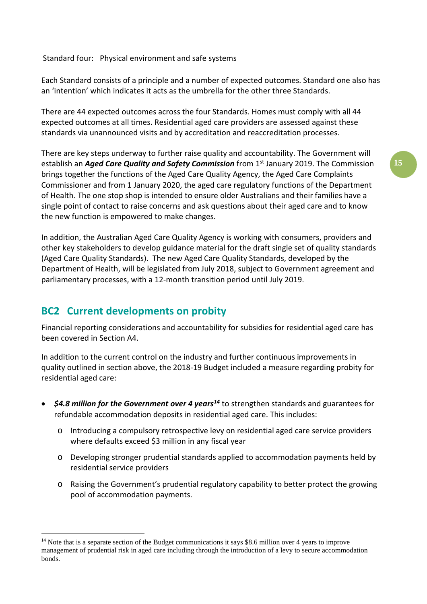Standard four: Physical environment and safe systems

Each Standard consists of a principle and a number of expected outcomes. Standard one also has an 'intention' which indicates it acts as the umbrella for the other three Standards.

There are 44 expected outcomes across the four Standards. Homes must comply with all 44 expected outcomes at all times. Residential aged care providers are assessed against these standards via unannounced visits and by accreditation and reaccreditation processes.

There are key steps underway to further raise quality and accountability. The Government will establish an *Aged Care Quality and Safety Commission* from 1<sup>st</sup> January 2019. The Commission brings together the functions of the Aged Care Quality Agency, the Aged Care Complaints Commissioner and from 1 January 2020, the aged care regulatory functions of the Department of Health. The one stop shop is intended to ensure older Australians and their families have a single point of contact to raise concerns and ask questions about their aged care and to know the new function is empowered to make changes.

In addition, the Australian Aged Care Quality Agency is working with consumers, providers and other key stakeholders to develop guidance material for the draft single set of quality standards (Aged Care Quality Standards). The new Aged Care Quality Standards, developed by the Department of Health, will be legislated from July 2018, subject to Government agreement and parliamentary processes, with a 12-month transition period until July 2019.

## **BC2 Current developments on probity**

Financial reporting considerations and accountability for subsidies for residential aged care has been covered in Section A4.

In addition to the current control on the industry and further continuous improvements in quality outlined in section above, the 2018-19 Budget included a measure regarding probity for residential aged care:

- *\$4.8 million for the Government over 4 year[s14](#page-14-0)* to strengthen standards and guarantees for refundable accommodation deposits in residential aged care. This includes:
	- o Introducing a compulsory retrospective levy on residential aged care service providers where defaults exceed \$3 million in any fiscal year
	- o Developing stronger prudential standards applied to accommodation payments held by residential service providers
	- o Raising the Government's prudential regulatory capability to better protect the growing pool of accommodation payments.

<span id="page-14-0"></span><sup>&</sup>lt;sup>14</sup> Note that is a separate section of the Budget communications it says \$8.6 million over 4 years to improve management of prudential risk in aged care including through the introduction of a levy to secure accommodation bonds.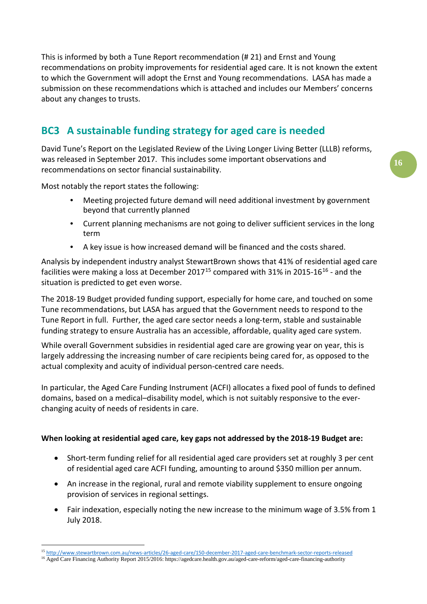This is informed by both a Tune Report recommendation (# 21) and Ernst and Young recommendations on probity improvements for residential aged care. It is not known the extent to which the Government will adopt the Ernst and Young recommendations. LASA has made a submission on these recommendations which is attached and includes our Members' concerns about any changes to trusts.

# **BC3 A sustainable funding strategy for aged care is needed**

David Tune's Report on the Legislated Review of the Living Longer Living Better (LLLB) reforms, was released in September 2017. This includes some important observations and recommendations on sector financial sustainability.

Most notably the report states the following:

- Meeting projected future demand will need additional investment by government beyond that currently planned
- Current planning mechanisms are not going to deliver sufficient services in the long term
- A key issue is how increased demand will be financed and the costs shared.

Analysis by independent industry analyst StewartBrown shows that 41% of residential aged care facilities were making a loss at December 2017<sup>[15](#page-15-0)</sup> compared with 31% in 2015-[16](#page-15-1)<sup>16</sup> - and the situation is predicted to get even worse.

The 2018-19 Budget provided funding support, especially for home care, and touched on some Tune recommendations, but LASA has argued that the Government needs to respond to the Tune Report in full. Further, the aged care sector needs a long-term, stable and sustainable funding strategy to ensure Australia has an accessible, affordable, quality aged care system.

While overall Government subsidies in residential aged care are growing year on year, this is largely addressing the increasing number of care recipients being cared for, as opposed to the actual complexity and acuity of individual person-centred care needs.

In particular, the Aged Care Funding Instrument (ACFI) allocates a fixed pool of funds to defined domains, based on a medical–disability model, which is not suitably responsive to the everchanging acuity of needs of residents in care.

#### **When looking at residential aged care, key gaps not addressed by the 2018-19 Budget are:**

- Short-term funding relief for all residential aged care providers set at roughly 3 per cent of residential aged care ACFI funding, amounting to around \$350 million per annum.
- An increase in the regional, rural and remote viability supplement to ensure ongoing provision of services in regional settings.
- Fair indexation, especially noting the new increase to the minimum wage of 3.5% from 1 July 2018.

<span id="page-15-0"></span> <sup>15</sup> <http://www.stewartbrown.com.au/news-articles/26-aged-care/150-december-2017-aged-care-benchmark-sector-reports-released>

<span id="page-15-1"></span><sup>16</sup> Aged Care Financing Authority Report 2015/2016: https://agedcare.health.gov.au/aged-care-reform/aged-care-financing-authority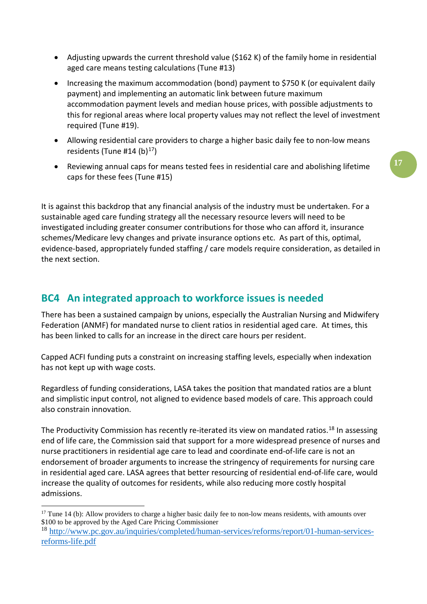- Adjusting upwards the current threshold value (\$162 K) of the family home in residential aged care means testing calculations (Tune #13)
- Increasing the maximum accommodation (bond) payment to \$750 K (or equivalent daily payment) and implementing an automatic link between future maximum accommodation payment levels and median house prices, with possible adjustments to this for regional areas where local property values may not reflect the level of investment required (Tune #19).
- Allowing residential care providers to charge a higher basic daily fee to non-low means residents (Tune #14 (b) $17$ )
- Reviewing annual caps for means tested fees in residential care and abolishing lifetime caps for these fees (Tune #15)

It is against this backdrop that any financial analysis of the industry must be undertaken. For a sustainable aged care funding strategy all the necessary resource levers will need to be investigated including greater consumer contributions for those who can afford it, insurance schemes/Medicare levy changes and private insurance options etc. As part of this, optimal, evidence-based, appropriately funded staffing / care models require consideration, as detailed in the next section.

## **BC4 An integrated approach to workforce issues is needed**

There has been a sustained campaign by unions, especially the Australian Nursing and Midwifery Federation (ANMF) for mandated nurse to client ratios in residential aged care. At times, this has been linked to calls for an increase in the direct care hours per resident.

Capped ACFI funding puts a constraint on increasing staffing levels, especially when indexation has not kept up with wage costs.

Regardless of funding considerations, LASA takes the position that mandated ratios are a blunt and simplistic input control, not aligned to evidence based models of care. This approach could also constrain innovation.

The Productivity Commission has recently re-iterated its view on mandated ratios.<sup>[18](#page-16-1)</sup> In assessing end of life care, the Commission said that support for a more widespread presence of nurses and nurse practitioners in residential age care to lead and coordinate end-of-life care is not an endorsement of broader arguments to increase the stringency of requirements for nursing care in residential aged care. LASA agrees that better resourcing of residential end-of-life care, would increase the quality of outcomes for residents, while also reducing more costly hospital admissions.

<span id="page-16-0"></span> $17$  Tune 14 (b): Allow providers to charge a higher basic daily fee to non-low means residents, with amounts over \$100 to be approved by the Aged Care Pricing Commissioner

<span id="page-16-1"></span><sup>18</sup> [http://www.pc.gov.au/inquiries/completed/human-services/reforms/report/01-human-services](http://www.pc.gov.au/inquiries/completed/human-services/reforms/report/01-human-services-reforms-life.pdf)[reforms-life.pdf](http://www.pc.gov.au/inquiries/completed/human-services/reforms/report/01-human-services-reforms-life.pdf)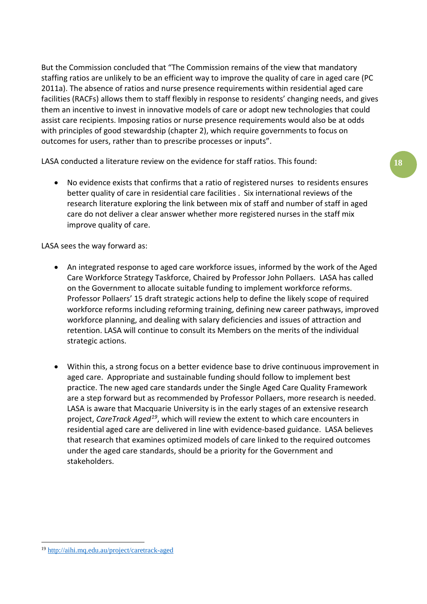But the Commission concluded that "The Commission remains of the view that mandatory staffing ratios are unlikely to be an efficient way to improve the quality of care in aged care (PC 2011a). The absence of ratios and nurse presence requirements within residential aged care facilities (RACFs) allows them to staff flexibly in response to residents' changing needs, and gives them an incentive to invest in innovative models of care or adopt new technologies that could assist care recipients. Imposing ratios or nurse presence requirements would also be at odds with principles of good stewardship (chapter 2), which require governments to focus on outcomes for users, rather than to prescribe processes or inputs".

LASA conducted a literature review on the evidence for staff ratios. This found:

• No evidence exists that confirms that a ratio of registered nurses to residents ensures better quality of care in residential care facilities . Six international reviews of the research literature exploring the link between mix of staff and number of staff in aged care do not deliver a clear answer whether more registered nurses in the staff mix improve quality of care.

LASA sees the way forward as:

- An integrated response to aged care workforce issues, informed by the work of the Aged Care Workforce Strategy Taskforce, Chaired by Professor John Pollaers. LASA has called on the Government to allocate suitable funding to implement workforce reforms. Professor Pollaers' 15 draft strategic actions help to define the likely scope of required workforce reforms including reforming training, defining new career pathways, improved workforce planning, and dealing with salary deficiencies and issues of attraction and retention. LASA will continue to consult its Members on the merits of the individual strategic actions.
- Within this, a strong focus on a better evidence base to drive continuous improvement in aged care. Appropriate and sustainable funding should follow to implement best practice. The new aged care standards under the Single Aged Care Quality Framework are a step forward but as recommended by Professor Pollaers, more research is needed. LASA is aware that Macquarie University is in the early stages of an extensive research project, *CareTrack Aged[19](#page-17-0)*, which will review the extent to which care encounters in residential aged care are delivered in line with evidence-based guidance. LASA believes that research that examines optimized models of care linked to the required outcomes under the aged care standards, should be a priority for the Government and stakeholders.

<span id="page-17-0"></span> <sup>19</sup> <http://aihi.mq.edu.au/project/caretrack-aged>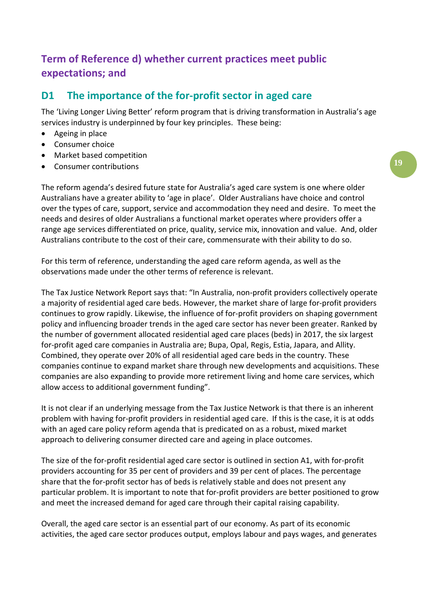# **Term of Reference d) whether current practices meet public expectations; and**

## **D1 The importance of the for-profit sector in aged care**

The 'Living Longer Living Better' reform program that is driving transformation in Australia's age services industry is underpinned by four key principles. These being:

- Ageing in place
- Consumer choice
- Market based competition
- Consumer contributions

The reform agenda's desired future state for Australia's aged care system is one where older Australians have a greater ability to 'age in place'. Older Australians have choice and control over the types of care, support, service and accommodation they need and desire. To meet the needs and desires of older Australians a functional market operates where providers offer a range age services differentiated on price, quality, service mix, innovation and value. And, older Australians contribute to the cost of their care, commensurate with their ability to do so.

For this term of reference, understanding the aged care reform agenda, as well as the observations made under the other terms of reference is relevant.

The Tax Justice Network Report says that: "In Australia, non-profit providers collectively operate a majority of residential aged care beds. However, the market share of large for-profit providers continues to grow rapidly. Likewise, the influence of for-profit providers on shaping government policy and influencing broader trends in the aged care sector has never been greater. Ranked by the number of government allocated residential aged care places (beds) in 2017, the six largest for-profit aged care companies in Australia are; Bupa, Opal, Regis, Estia, Japara, and Allity. Combined, they operate over 20% of all residential aged care beds in the country. These companies continue to expand market share through new developments and acquisitions. These companies are also expanding to provide more retirement living and home care services, which allow access to additional government funding".

It is not clear if an underlying message from the Tax Justice Network is that there is an inherent problem with having for-profit providers in residential aged care. If this is the case, it is at odds with an aged care policy reform agenda that is predicated on as a robust, mixed market approach to delivering consumer directed care and ageing in place outcomes.

The size of the for-profit residential aged care sector is outlined in section A1, with for-profit providers accounting for 35 per cent of providers and 39 per cent of places. The percentage share that the for-profit sector has of beds is relatively stable and does not present any particular problem. It is important to note that for-profit providers are better positioned to grow and meet the increased demand for aged care through their capital raising capability.

Overall, the aged care sector is an essential part of our economy. As part of its economic activities, the aged care sector produces output, employs labour and pays wages, and generates